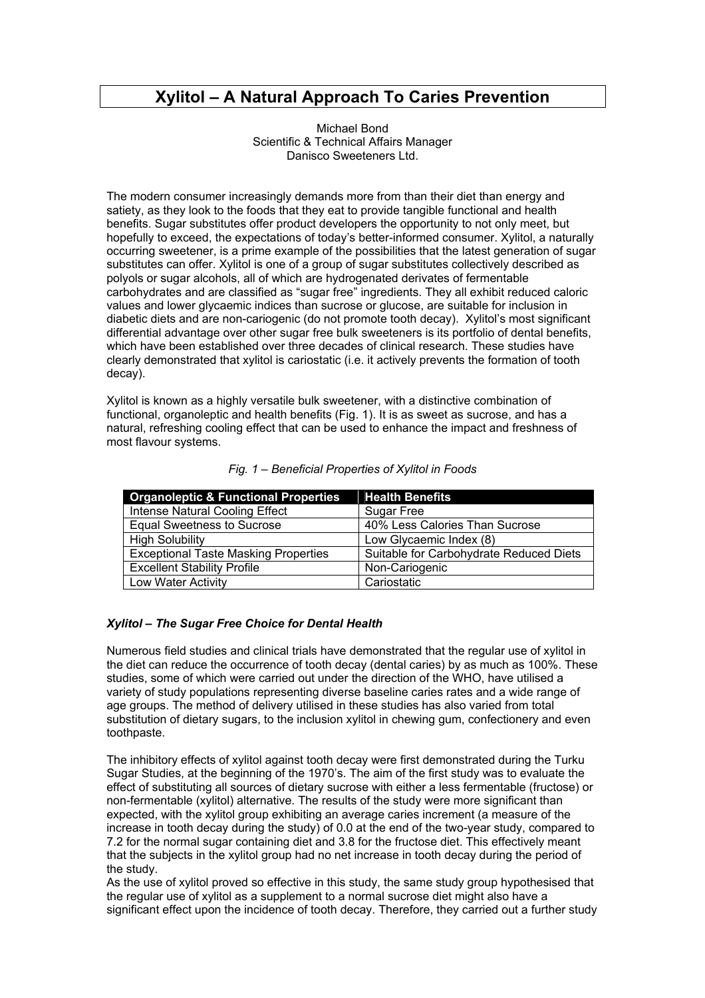# **Xylitol – A Natural Approach To Caries Prevention**

Michael Bond Scientific & Technical Affairs Manager Danisco Sweeteners Ltd.

The modern consumer increasingly demands more from than their diet than energy and satiety, as they look to the foods that they eat to provide tangible functional and health benefits. Sugar substitutes offer product developers the opportunity to not only meet, but hopefully to exceed, the expectations of today's better-informed consumer. Xylitol, a naturally occurring sweetener, is a prime example of the possibilities that the latest generation of sugar substitutes can offer. Xylitol is one of a group of sugar substitutes collectively described as polyols or sugar alcohols, all of which are hydrogenated derivates of fermentable carbohydrates and are classified as "sugar free" ingredients. They all exhibit reduced caloric values and lower glycaemic indices than sucrose or glucose, are suitable for inclusion in diabetic diets and are non-cariogenic (do not promote tooth decay). Xylitol's most significant differential advantage over other sugar free bulk sweeteners is its portfolio of dental benefits, which have been established over three decades of clinical research. These studies have clearly demonstrated that xylitol is cariostatic (i.e. it actively prevents the formation of tooth decay).

Xylitol is known as a highly versatile bulk sweetener, with a distinctive combination of functional, organoleptic and health benefits (Fig. 1). It is as sweet as sucrose, and has a natural, refreshing cooling effect that can be used to enhance the impact and freshness of most flavour systems.

| <b>Organoleptic &amp; Functional Properties</b> | <b>Health Benefits</b>                  |
|-------------------------------------------------|-----------------------------------------|
| Intense Natural Cooling Effect                  | Sugar Free                              |
| <b>Equal Sweetness to Sucrose</b>               | 40% Less Calories Than Sucrose          |
| <b>High Solubility</b>                          | Low Glycaemic Index (8)                 |
| <b>Exceptional Taste Masking Properties</b>     | Suitable for Carbohydrate Reduced Diets |
| <b>Excellent Stability Profile</b>              | Non-Cariogenic                          |
| Low Water Activity                              | Cariostatic                             |

|  |  |  | Fig. 1 - Beneficial Properties of Xylitol in Foods |  |  |
|--|--|--|----------------------------------------------------|--|--|
|--|--|--|----------------------------------------------------|--|--|

# *Xylitol – The Sugar Free Choice for Dental Health*

Numerous field studies and clinical trials have demonstrated that the regular use of xylitol in the diet can reduce the occurrence of tooth decay (dental caries) by as much as 100%. These studies, some of which were carried out under the direction of the WHO, have utilised a variety of study populations representing diverse baseline caries rates and a wide range of age groups. The method of delivery utilised in these studies has also varied from total substitution of dietary sugars, to the inclusion xylitol in chewing gum, confectionery and even toothpaste.

The inhibitory effects of xylitol against tooth decay were first demonstrated during the Turku Sugar Studies, at the beginning of the 1970's. The aim of the first study was to evaluate the effect of substituting all sources of dietary sucrose with either a less fermentable (fructose) or non-fermentable (xylitol) alternative. The results of the study were more significant than expected, with the xylitol group exhibiting an average caries increment (a measure of the increase in tooth decay during the study) of 0.0 at the end of the two-year study, compared to 7.2 for the normal sugar containing diet and 3.8 for the fructose diet. This effectively meant that the subjects in the xylitol group had no net increase in tooth decay during the period of the study.

As the use of xylitol proved so effective in this study, the same study group hypothesised that the regular use of xylitol as a supplement to a normal sucrose diet might also have a significant effect upon the incidence of tooth decay. Therefore, they carried out a further study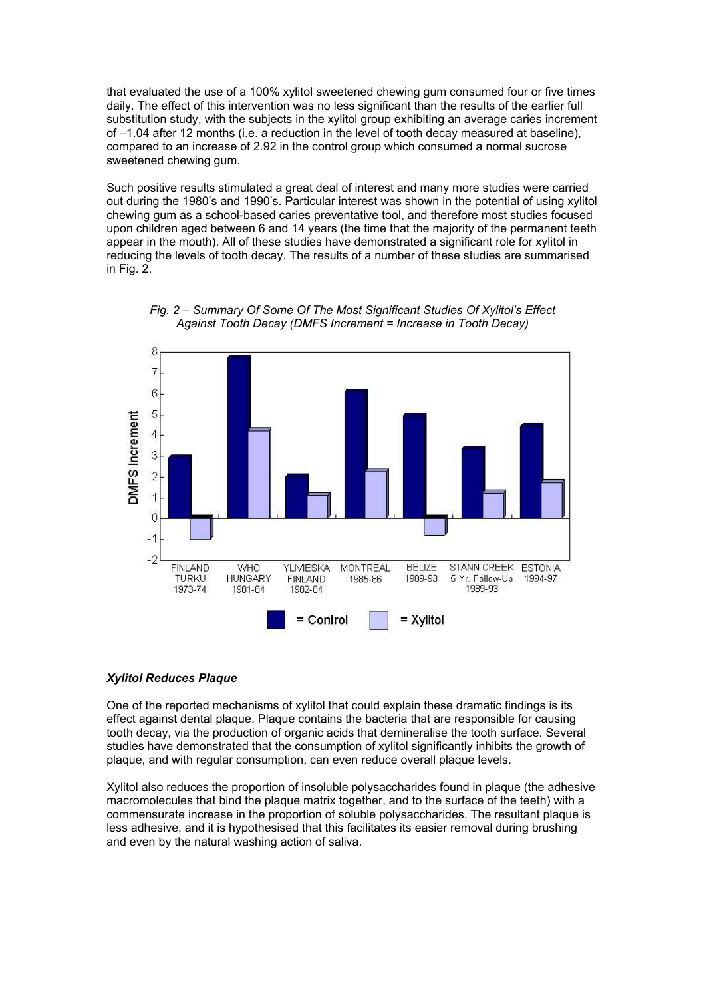that evaluated the use of a 100% xylitol sweetened chewing gum consumed four or five times daily. The effect of this intervention was no less significant than the results of the earlier full substitution study, with the subjects in the xylitol group exhibiting an average caries increment of –1.04 after 12 months (i.e. a reduction in the level of tooth decay measured at baseline), compared to an increase of 2.92 in the control group which consumed a normal sucrose sweetened chewing gum.

Such positive results stimulated a great deal of interest and many more studies were carried out during the 1980's and 1990's. Particular interest was shown in the potential of using xylitol chewing gum as a school-based caries preventative tool, and therefore most studies focused upon children aged between 6 and 14 years (the time that the majority of the permanent teeth appear in the mouth). All of these studies have demonstrated a significant role for xylitol in reducing the levels of tooth decay. The results of a number of these studies are summarised in Fig. 2.





#### *Xylitol Reduces Plaque*

One of the reported mechanisms of xylitol that could explain these dramatic findings is its effect against dental plaque. Plaque contains the bacteria that are responsible for causing tooth decay, via the production of organic acids that demineralise the tooth surface. Several studies have demonstrated that the consumption of xylitol significantly inhibits the growth of plaque, and with regular consumption, can even reduce overall plaque levels.

Xylitol also reduces the proportion of insoluble polysaccharides found in plaque (the adhesive macromolecules that bind the plaque matrix together, and to the surface of the teeth) with a commensurate increase in the proportion of soluble polysaccharides. The resultant plaque is less adhesive, and it is hypothesised that this facilitates its easier removal during brushing and even by the natural washing action of saliva.